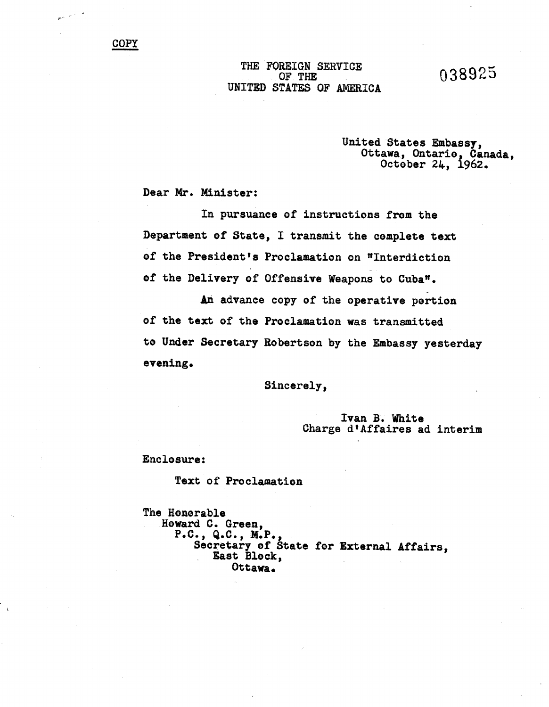038925

## THE FOREIGN SERVICE OF THE UNITED STATES OF AMERICA

## United States Embassy, Ottawa, Ontarie, Canada, October 24, 1962.

Dear Mr. Minister:

In pursuance of instructions frem the Department of State, I transmit the complete text of the President's Proclamation on "Interdiction of the Delivery of Offensive Weapons to Cuba".

An advance copy of the operative portion of the text of the Proclamation was transmitted to Under Secretary Rebertson by the Embassy yesterday evening.

Sincerely,

## Ivan B. White Charge d'Affaires ad interim

Enclosure:

Text of Proclamation

The Honorable Howard C. Green, p.e., Q.e., X.P., Secretary of State for External Affairs. East Bleck, Ottawa.

فالمرار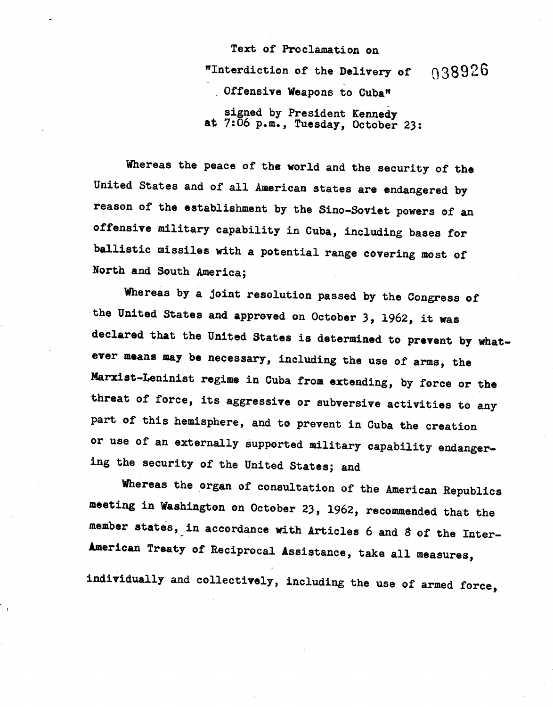Text of Proclamation on "Interdiction of the Delivery of Offensive Weapons to Cuba" 038926 signed by President Kenned at 7:06 p.m., Tuesday, October 23

Whereas the peace of the world and the security of the United States and of all American states are endangered by reason of the establishment by the Sino-Soviet powers of an offensive military capability in Cuba, including bases for ballistic missiles with a potential range covering most of North and South America;

Whereas by a joint resolution passed by the Congress of the United States and approved on October 3, 1962, it was declared that the United States is determined to prevent by whatever means may be necessary, inclUding the use of arms, the Marxist-Leninist regime in Cuba from extending, by force or the threat of force, its aggressive or subversive activities to any part of this hemisphere, and to prevent in Cuba the creation or use of an externally supported military capability endangering the security of the United States; and

Whereas the organ of consultation of the American Republics meeting in Washington on October 23, 1962, recommended that the member states, in accordance with Articles 6 and 8 of the Inter-American Treaty of Reciprocal Assistance, take all measures,

individually and collectively, including the use of armed force,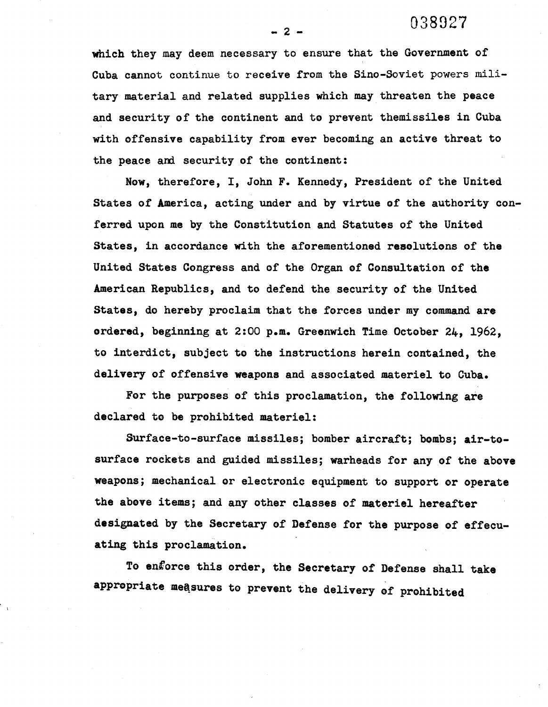038027

which they may deem necessary to ensure that the Government of Cuba cannot continue to receive from the Sino-Soviet powers military material and related supplies which may threaten the peace and security of the continent and to prevent themissiles in Cuba with offensive capability from ever becoming an active threat to the peace and security of the continent:

Now, therefore, I, John F. Kennedy, President of the United States of America, acting under and by virtue of the authority conferred upon me by the Constitution and Statutes of the United States, in accordance with the aforementioned resolutions of the United States Congress and of the Organ of Consultation of the American Republics, and to defend the security of the United States, do hereby proclaim that the forces under my command are ordered, beginning at  $2:00$  p.m. Greenwich Time October  $24$ , 1962, to interdict, subject to the instructions herein contained, the delivery of offensive weapons and associated materiel to Cuba.

For the purposes of this proclamation, the following are declared to be prohibited materiel:

Surface-to-surface missiles; bomber aircraft; bombs; air-tosurface rockets and guided missiles; warheads for any of the above weapons; mechanical or electronic equipment to support or operate the above items; and any other classes of materiel hereafter designated by the Secretary of Defense for the purpose of effecuating this proclamation.

To enforce this order, the Secretary of Defense shall take appropriate measures to prevent the delivery of prohibited

 $-2-$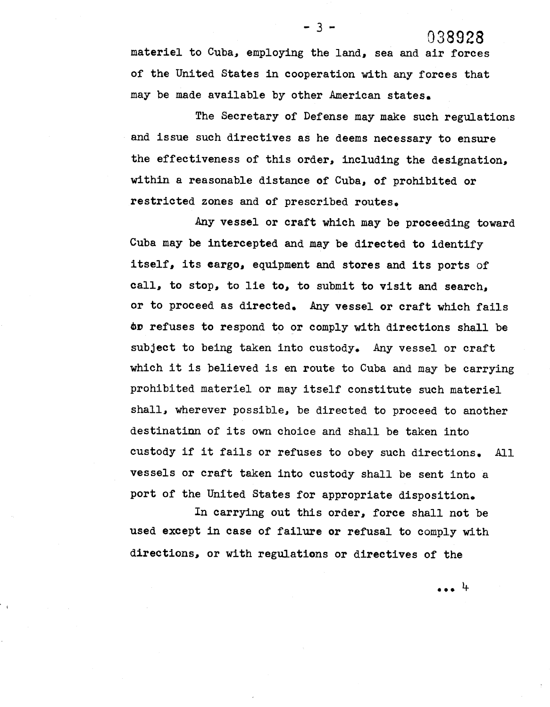materiel to Cuba. employing the land, sea and air forces of the United States in cooperation with any forces that may be made available by other American states.

 $-3.$ 

The Secretary of Defense may make such regulations and issue such directives as he deems necessary to ensure the effectiveness of this order. including the designation. within a reasonable distance of Cuba, of prohibited or restricted zones and of prescribed routes.

Any vessel or craft which may be proceeding toward Cuba may be intercepted and may be directed to identify itself, its cargo, equipment and stores and its ports of call. to stop, to lie to, to submit to visit and search, or to proceed as directed. Any vessel or craft which fails ov refuses to respond to or comply with directions shall be subject to being taken into custody. Any vessel or craft which it is believed is en route to Cuba and may be carrying prohibited materiel or may itself constitute such materiel shall. wherever possible. be directed to proceed to another destinatinn of its own choice and shall be taken into custody if it fails or refuses to obey such directions. All vessels or craft taken into custody shall be sent into a port of the United States for appropriate disposition.

In carrying out this order, force shall not be used except in case of failure or refusal to comply withdirections, or with regulations or directives of the

 $\cdots$ 

038928